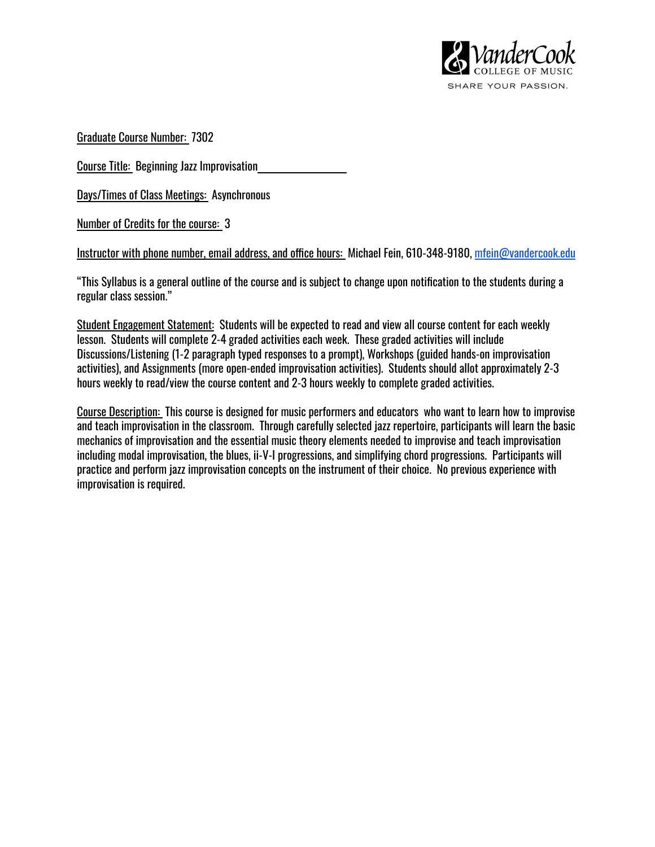

Graduate Course Number: 7302

Course Title: Beginning Jazz Improvisation

Days/Times of Class Meetings: Asynchronous

Number of Credits for the course: 3

Instructor with phone number, email address, and office hours: Michael Fein, 610-348-9180, [mfein@vandercook.edu](mailto:mfein@vandercook.edu)

"This Syllabus is a general outline of the course and is subject to change upon notification to the students during a regular class session."

Student Engagement Statement: Students will be expected to read and view all course content for each weekly lesson. Students will complete 2-4 graded activities each week. These graded activities will include Discussions/Listening (1-2 paragraph typed responses to a prompt), Workshops (guided hands-on improvisation activities), and Assignments (more open-ended improvisation activities). Students should allot approximately 2-3 hours weekly to read/view the course content and 2-3 hours weekly to complete graded activities.

Course Description: This course is designed for music performers and educators who want to learn how to improvise and teach improvisation in the classroom. Through carefully selected jazz repertoire, participants will learn the basic mechanics of improvisation and the essential music theory elements needed to improvise and teach improvisation including modal improvisation, the blues, ii-V-I progressions, and simplifying chord progressions. Participants will practice and perform jazz improvisation concepts on the instrument of their choice. No previous experience with improvisation is required.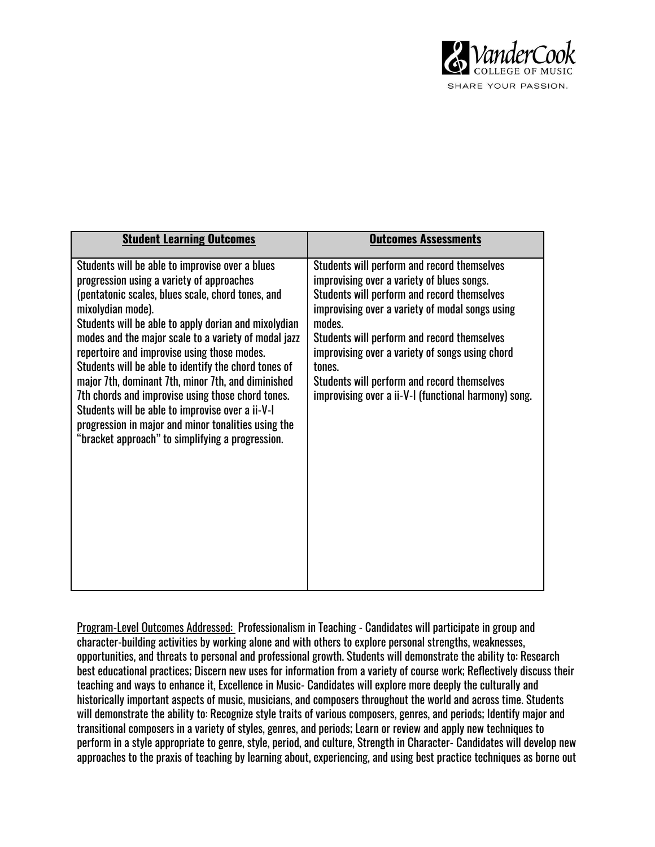

| <b>Student Learning Outcomes</b>                                                                                                                                                                                                                                                                                                                                                                                                                                                                                                                                                                                                                                        | <b>Outcomes Assessments</b>                                                                                                                                                                                                                                                                                                                                                                                              |
|-------------------------------------------------------------------------------------------------------------------------------------------------------------------------------------------------------------------------------------------------------------------------------------------------------------------------------------------------------------------------------------------------------------------------------------------------------------------------------------------------------------------------------------------------------------------------------------------------------------------------------------------------------------------------|--------------------------------------------------------------------------------------------------------------------------------------------------------------------------------------------------------------------------------------------------------------------------------------------------------------------------------------------------------------------------------------------------------------------------|
| Students will be able to improvise over a blues<br>progression using a variety of approaches<br>(pentatonic scales, blues scale, chord tones, and<br>mixolydian mode).<br>Students will be able to apply dorian and mixolydian<br>modes and the major scale to a variety of modal jazz<br>repertoire and improvise using those modes.<br>Students will be able to identify the chord tones of<br>major 7th, dominant 7th, minor 7th, and diminished<br>7th chords and improvise using those chord tones.<br>Students will be able to improvise over a ii-V-I<br>progression in major and minor tonalities using the<br>"bracket approach" to simplifying a progression. | Students will perform and record themselves<br>improvising over a variety of blues songs.<br>Students will perform and record themselves<br>improvising over a variety of modal songs using<br>modes.<br>Students will perform and record themselves<br>improvising over a variety of songs using chord<br>tones.<br>Students will perform and record themselves<br>improvising over a ii-V-I (functional harmony) song. |

Program-Level Outcomes Addressed: Professionalism in Teaching - Candidates will participate in group and character-building activities by working alone and with others to explore personal strengths, weaknesses, opportunities, and threats to personal and professional growth. Students will demonstrate the ability to: Research best educational practices; Discern new uses for information from a variety of course work; Reflectively discuss their teaching and ways to enhance it, Excellence in Music- Candidates will explore more deeply the culturally and historically important aspects of music, musicians, and composers throughout the world and across time. Students will demonstrate the ability to: Recognize style traits of various composers, genres, and periods; Identify major and transitional composers in a variety of styles, genres, and periods; Learn or review and apply new techniques to perform in a style appropriate to genre, style, period, and culture, Strength in Character- Candidates will develop new approaches to the praxis of teaching by learning about, experiencing, and using best practice techniques as borne out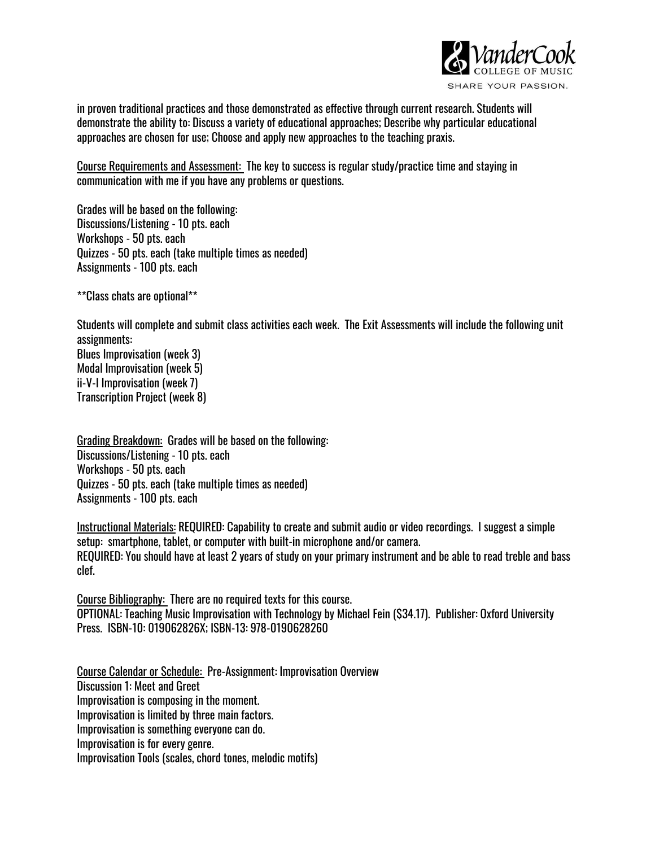

in proven traditional practices and those demonstrated as effective through current research. Students will demonstrate the ability to: Discuss a variety of educational approaches; Describe why particular educational approaches are chosen for use; Choose and apply new approaches to the teaching praxis.

Course Requirements and Assessment: The key to success is regular study/practice time and staying in communication with me if you have any problems or questions.

Grades will be based on the following: Discussions/Listening - 10 pts. each Workshops - 50 pts. each Quizzes - 50 pts. each (take multiple times as needed) Assignments - 100 pts. each

\*\*Class chats are optional\*\*

Students will complete and submit class activities each week. The Exit Assessments will include the following unit assignments: Blues Improvisation (week 3) Modal Improvisation (week 5) ii-V-I Improvisation (week 7) Transcription Project (week 8)

Grading Breakdown: Grades will be based on the following: Discussions/Listening - 10 pts. each Workshops - 50 pts. each Quizzes - 50 pts. each (take multiple times as needed) Assignments - 100 pts. each

Instructional Materials: REQUIRED: Capability to create and submit audio or video recordings. I suggest a simple setup: smartphone, tablet, or computer with built-in microphone and/or camera. REQUIRED: You should have at least 2 years of study on your primary instrument and be able to read treble and bass clef.

Course Bibliography: There are no required texts for this course. OPTIONAL: Teaching Music Improvisation with Technology by Michael Fein (\$34.17). Publisher: Oxford University Press. ISBN-10: 019062826X; ISBN-13: 978-0190628260

Course Calendar or Schedule: Pre-Assignment: Improvisation Overview Discussion 1: Meet and Greet Improvisation is composing in the moment. Improvisation is limited by three main factors. Improvisation is something everyone can do. Improvisation is for every genre. Improvisation Tools (scales, chord tones, melodic motifs)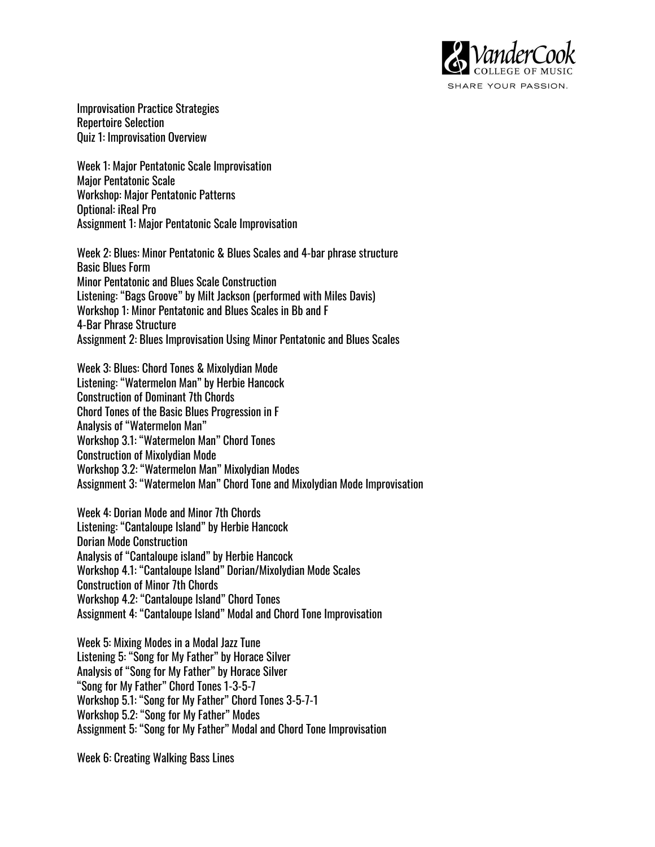

Improvisation Practice Strategies Repertoire Selection Quiz 1: Improvisation Overview

Week 1: Major Pentatonic Scale Improvisation Major Pentatonic Scale Workshop: Major Pentatonic Patterns Optional: iReal Pro Assignment 1: Major Pentatonic Scale Improvisation

Week 2: Blues: Minor Pentatonic & Blues Scales and 4-bar phrase structure Basic Blues Form Minor Pentatonic and Blues Scale Construction Listening: "Bags Groove" by Milt Jackson (performed with Miles Davis) Workshop 1: Minor Pentatonic and Blues Scales in Bb and F 4-Bar Phrase Structure Assignment 2: Blues Improvisation Using Minor Pentatonic and Blues Scales

Week 3: Blues: Chord Tones & Mixolydian Mode Listening: "Watermelon Man" by Herbie Hancock Construction of Dominant 7th Chords Chord Tones of the Basic Blues Progression in F Analysis of "Watermelon Man" Workshop 3.1: "Watermelon Man" Chord Tones Construction of Mixolydian Mode Workshop 3.2: "Watermelon Man" Mixolydian Modes Assignment 3: "Watermelon Man" Chord Tone and Mixolydian Mode Improvisation

Week 4: Dorian Mode and Minor 7th Chords Listening: "Cantaloupe Island" by Herbie Hancock Dorian Mode Construction Analysis of "Cantaloupe island" by Herbie Hancock Workshop 4.1: "Cantaloupe Island" Dorian/Mixolydian Mode Scales Construction of Minor 7th Chords Workshop 4.2: "Cantaloupe Island" Chord Tones Assignment 4: "Cantaloupe Island" Modal and Chord Tone Improvisation

Week 5: Mixing Modes in a Modal Jazz Tune Listening 5: "Song for My Father" by Horace Silver Analysis of "Song for My Father" by Horace Silver "Song for My Father" Chord Tones 1-3-5-7 Workshop 5.1: "Song for My Father" Chord Tones 3-5-7-1 Workshop 5.2: "Song for My Father" Modes Assignment 5: "Song for My Father" Modal and Chord Tone Improvisation

Week 6: Creating Walking Bass Lines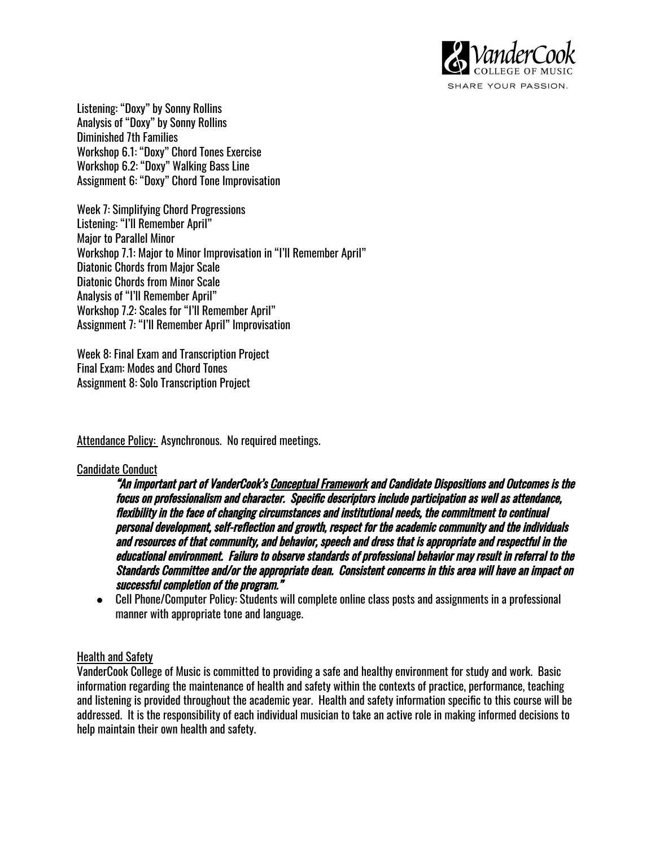

Listening: "Doxy" by Sonny Rollins Analysis of "Doxy" by Sonny Rollins Diminished 7th Families Workshop 6.1: "Doxy" Chord Tones Exercise Workshop 6.2: "Doxy" Walking Bass Line Assignment 6: "Doxy" Chord Tone Improvisation

Week 7: Simplifying Chord Progressions Listening: "I'll Remember April" Major to Parallel Minor Workshop 7.1: Major to Minor Improvisation in "I'll Remember April" Diatonic Chords from Major Scale Diatonic Chords from Minor Scale Analysis of "I'll Remember April" Workshop 7.2: Scales for "I'll Remember April" Assignment 7: "I'll Remember April" Improvisation

Week 8: Final Exam and Transcription Project Final Exam: Modes and Chord Tones Assignment 8: Solo Transcription Project

Attendance Policy: Asynchronous. No required meetings.

#### Candidate Conduct

"An important part of VanderCook's Conceptual Framework and Candidate Dispositions and Outcomes is the focus on professionalism and character. Specific descriptors include participation as well as attendance, flexibility in the face of changing circumstances and institutional needs, the commitment to continual personal development, self-reflection and growth, respect for the academic community and the individuals and resources of that community, and behavior, speech and dress that is appropriate and respectful in the educational environment. Failure to observe standards of professional behavior may result in referral to the Standards Committee and/or the appropriate dean. Consistent concerns in this area will have an impact on successful completion of the program."

● Cell Phone/Computer Policy: Students will complete online class posts and assignments in a professional manner with appropriate tone and language.

#### Health and Safety

VanderCook College of Music is committed to providing a safe and healthy environment for study and work. Basic information regarding the maintenance of health and safety within the contexts of practice, performance, teaching and listening is provided throughout the academic year. Health and safety information specific to this course will be addressed. It is the responsibility of each individual musician to take an active role in making informed decisions to help maintain their own health and safety.